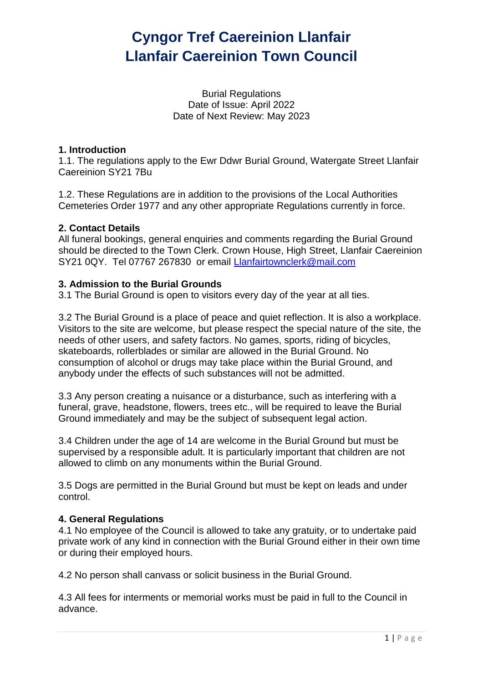Burial Regulations Date of Issue: April 2022 Date of Next Review: May 2023

### **1. Introduction**

1.1. The regulations apply to the Ewr Ddwr Burial Ground, Watergate Street Llanfair Caereinion SY21 7Bu

1.2. These Regulations are in addition to the provisions of the Local Authorities Cemeteries Order 1977 and any other appropriate Regulations currently in force.

### **2. Contact Details**

All funeral bookings, general enquiries and comments regarding the Burial Ground should be directed to the Town Clerk. Crown House, High Street, Llanfair Caereinion SY21 0QY. Tel 07767 267830 or email [Llanfairtownclerk@mail.com](mailto:Llanfairtownclerk@mail.com)

### **3. Admission to the Burial Grounds**

3.1 The Burial Ground is open to visitors every day of the year at all ties.

3.2 The Burial Ground is a place of peace and quiet reflection. It is also a workplace. Visitors to the site are welcome, but please respect the special nature of the site, the needs of other users, and safety factors. No games, sports, riding of bicycles, skateboards, rollerblades or similar are allowed in the Burial Ground. No consumption of alcohol or drugs may take place within the Burial Ground, and anybody under the effects of such substances will not be admitted.

3.3 Any person creating a nuisance or a disturbance, such as interfering with a funeral, grave, headstone, flowers, trees etc., will be required to leave the Burial Ground immediately and may be the subject of subsequent legal action.

3.4 Children under the age of 14 are welcome in the Burial Ground but must be supervised by a responsible adult. It is particularly important that children are not allowed to climb on any monuments within the Burial Ground.

3.5 Dogs are permitted in the Burial Ground but must be kept on leads and under control.

#### **4. General Regulations**

4.1 No employee of the Council is allowed to take any gratuity, or to undertake paid private work of any kind in connection with the Burial Ground either in their own time or during their employed hours.

4.2 No person shall canvass or solicit business in the Burial Ground.

4.3 All fees for interments or memorial works must be paid in full to the Council in advance.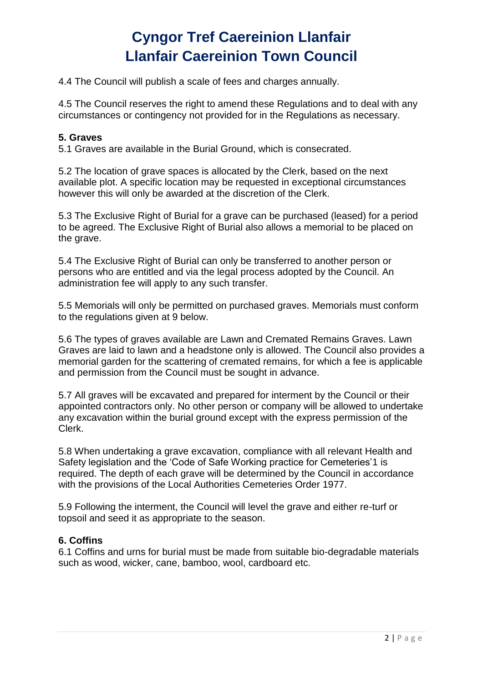4.4 The Council will publish a scale of fees and charges annually.

4.5 The Council reserves the right to amend these Regulations and to deal with any circumstances or contingency not provided for in the Regulations as necessary.

### **5. Graves**

5.1 Graves are available in the Burial Ground, which is consecrated.

5.2 The location of grave spaces is allocated by the Clerk, based on the next available plot. A specific location may be requested in exceptional circumstances however this will only be awarded at the discretion of the Clerk.

5.3 The Exclusive Right of Burial for a grave can be purchased (leased) for a period to be agreed. The Exclusive Right of Burial also allows a memorial to be placed on the grave.

5.4 The Exclusive Right of Burial can only be transferred to another person or persons who are entitled and via the legal process adopted by the Council. An administration fee will apply to any such transfer.

5.5 Memorials will only be permitted on purchased graves. Memorials must conform to the regulations given at 9 below.

5.6 The types of graves available are Lawn and Cremated Remains Graves. Lawn Graves are laid to lawn and a headstone only is allowed. The Council also provides a memorial garden for the scattering of cremated remains, for which a fee is applicable and permission from the Council must be sought in advance.

5.7 All graves will be excavated and prepared for interment by the Council or their appointed contractors only. No other person or company will be allowed to undertake any excavation within the burial ground except with the express permission of the Clerk.

5.8 When undertaking a grave excavation, compliance with all relevant Health and Safety legislation and the 'Code of Safe Working practice for Cemeteries'1 is required. The depth of each grave will be determined by the Council in accordance with the provisions of the Local Authorities Cemeteries Order 1977.

5.9 Following the interment, the Council will level the grave and either re-turf or topsoil and seed it as appropriate to the season.

### **6. Coffins**

6.1 Coffins and urns for burial must be made from suitable bio-degradable materials such as wood, wicker, cane, bamboo, wool, cardboard etc.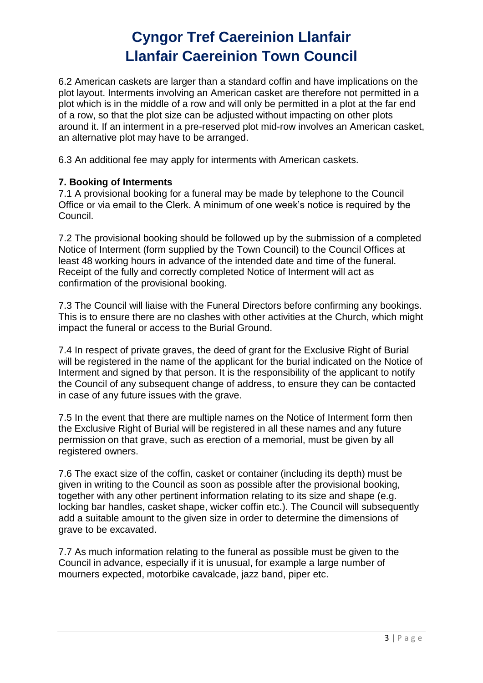6.2 American caskets are larger than a standard coffin and have implications on the plot layout. Interments involving an American casket are therefore not permitted in a plot which is in the middle of a row and will only be permitted in a plot at the far end of a row, so that the plot size can be adjusted without impacting on other plots around it. If an interment in a pre-reserved plot mid-row involves an American casket, an alternative plot may have to be arranged.

6.3 An additional fee may apply for interments with American caskets.

### **7. Booking of Interments**

7.1 A provisional booking for a funeral may be made by telephone to the Council Office or via email to the Clerk. A minimum of one week's notice is required by the Council.

7.2 The provisional booking should be followed up by the submission of a completed Notice of Interment (form supplied by the Town Council) to the Council Offices at least 48 working hours in advance of the intended date and time of the funeral. Receipt of the fully and correctly completed Notice of Interment will act as confirmation of the provisional booking.

7.3 The Council will liaise with the Funeral Directors before confirming any bookings. This is to ensure there are no clashes with other activities at the Church, which might impact the funeral or access to the Burial Ground.

7.4 In respect of private graves, the deed of grant for the Exclusive Right of Burial will be registered in the name of the applicant for the burial indicated on the Notice of Interment and signed by that person. It is the responsibility of the applicant to notify the Council of any subsequent change of address, to ensure they can be contacted in case of any future issues with the grave.

7.5 In the event that there are multiple names on the Notice of Interment form then the Exclusive Right of Burial will be registered in all these names and any future permission on that grave, such as erection of a memorial, must be given by all registered owners.

7.6 The exact size of the coffin, casket or container (including its depth) must be given in writing to the Council as soon as possible after the provisional booking, together with any other pertinent information relating to its size and shape (e.g. locking bar handles, casket shape, wicker coffin etc.). The Council will subsequently add a suitable amount to the given size in order to determine the dimensions of grave to be excavated.

7.7 As much information relating to the funeral as possible must be given to the Council in advance, especially if it is unusual, for example a large number of mourners expected, motorbike cavalcade, jazz band, piper etc.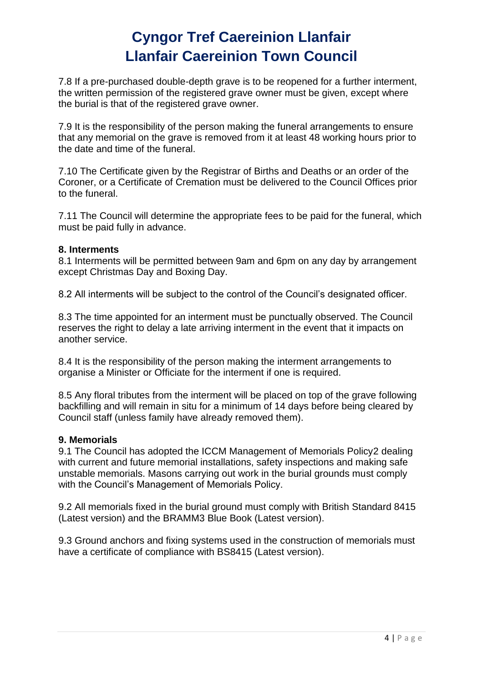7.8 If a pre-purchased double-depth grave is to be reopened for a further interment, the written permission of the registered grave owner must be given, except where the burial is that of the registered grave owner.

7.9 It is the responsibility of the person making the funeral arrangements to ensure that any memorial on the grave is removed from it at least 48 working hours prior to the date and time of the funeral.

7.10 The Certificate given by the Registrar of Births and Deaths or an order of the Coroner, or a Certificate of Cremation must be delivered to the Council Offices prior to the funeral.

7.11 The Council will determine the appropriate fees to be paid for the funeral, which must be paid fully in advance.

#### **8. Interments**

8.1 Interments will be permitted between 9am and 6pm on any day by arrangement except Christmas Day and Boxing Day.

8.2 All interments will be subject to the control of the Council's designated officer.

8.3 The time appointed for an interment must be punctually observed. The Council reserves the right to delay a late arriving interment in the event that it impacts on another service.

8.4 It is the responsibility of the person making the interment arrangements to organise a Minister or Officiate for the interment if one is required.

8.5 Any floral tributes from the interment will be placed on top of the grave following backfilling and will remain in situ for a minimum of 14 days before being cleared by Council staff (unless family have already removed them).

#### **9. Memorials**

9.1 The Council has adopted the ICCM Management of Memorials Policy2 dealing with current and future memorial installations, safety inspections and making safe unstable memorials. Masons carrying out work in the burial grounds must comply with the Council's Management of Memorials Policy.

9.2 All memorials fixed in the burial ground must comply with British Standard 8415 (Latest version) and the BRAMM3 Blue Book (Latest version).

9.3 Ground anchors and fixing systems used in the construction of memorials must have a certificate of compliance with BS8415 (Latest version).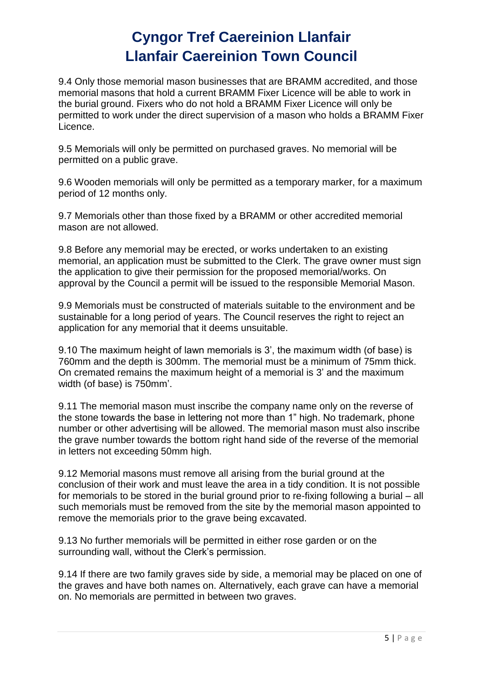9.4 Only those memorial mason businesses that are BRAMM accredited, and those memorial masons that hold a current BRAMM Fixer Licence will be able to work in the burial ground. Fixers who do not hold a BRAMM Fixer Licence will only be permitted to work under the direct supervision of a mason who holds a BRAMM Fixer Licence.

9.5 Memorials will only be permitted on purchased graves. No memorial will be permitted on a public grave.

9.6 Wooden memorials will only be permitted as a temporary marker, for a maximum period of 12 months only.

9.7 Memorials other than those fixed by a BRAMM or other accredited memorial mason are not allowed.

9.8 Before any memorial may be erected, or works undertaken to an existing memorial, an application must be submitted to the Clerk. The grave owner must sign the application to give their permission for the proposed memorial/works. On approval by the Council a permit will be issued to the responsible Memorial Mason.

9.9 Memorials must be constructed of materials suitable to the environment and be sustainable for a long period of years. The Council reserves the right to reject an application for any memorial that it deems unsuitable.

9.10 The maximum height of lawn memorials is 3', the maximum width (of base) is 760mm and the depth is 300mm. The memorial must be a minimum of 75mm thick. On cremated remains the maximum height of a memorial is 3' and the maximum width (of base) is 750mm'.

9.11 The memorial mason must inscribe the company name only on the reverse of the stone towards the base in lettering not more than 1" high. No trademark, phone number or other advertising will be allowed. The memorial mason must also inscribe the grave number towards the bottom right hand side of the reverse of the memorial in letters not exceeding 50mm high.

9.12 Memorial masons must remove all arising from the burial ground at the conclusion of their work and must leave the area in a tidy condition. It is not possible for memorials to be stored in the burial ground prior to re-fixing following a burial – all such memorials must be removed from the site by the memorial mason appointed to remove the memorials prior to the grave being excavated.

9.13 No further memorials will be permitted in either rose garden or on the surrounding wall, without the Clerk's permission.

9.14 If there are two family graves side by side, a memorial may be placed on one of the graves and have both names on. Alternatively, each grave can have a memorial on. No memorials are permitted in between two graves.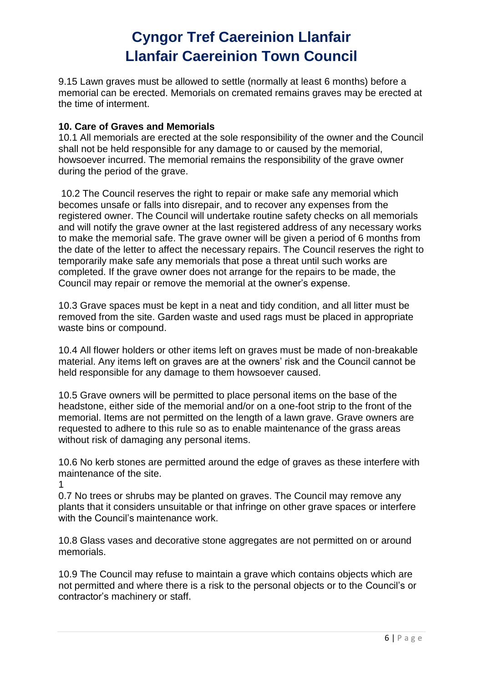9.15 Lawn graves must be allowed to settle (normally at least 6 months) before a memorial can be erected. Memorials on cremated remains graves may be erected at the time of interment.

### **10. Care of Graves and Memorials**

10.1 All memorials are erected at the sole responsibility of the owner and the Council shall not be held responsible for any damage to or caused by the memorial, howsoever incurred. The memorial remains the responsibility of the grave owner during the period of the grave.

10.2 The Council reserves the right to repair or make safe any memorial which becomes unsafe or falls into disrepair, and to recover any expenses from the registered owner. The Council will undertake routine safety checks on all memorials and will notify the grave owner at the last registered address of any necessary works to make the memorial safe. The grave owner will be given a period of 6 months from the date of the letter to affect the necessary repairs. The Council reserves the right to temporarily make safe any memorials that pose a threat until such works are completed. If the grave owner does not arrange for the repairs to be made, the Council may repair or remove the memorial at the owner's expense.

10.3 Grave spaces must be kept in a neat and tidy condition, and all litter must be removed from the site. Garden waste and used rags must be placed in appropriate waste bins or compound.

10.4 All flower holders or other items left on graves must be made of non-breakable material. Any items left on graves are at the owners' risk and the Council cannot be held responsible for any damage to them howsoever caused.

10.5 Grave owners will be permitted to place personal items on the base of the headstone, either side of the memorial and/or on a one-foot strip to the front of the memorial. Items are not permitted on the length of a lawn grave. Grave owners are requested to adhere to this rule so as to enable maintenance of the grass areas without risk of damaging any personal items.

10.6 No kerb stones are permitted around the edge of graves as these interfere with maintenance of the site.

1

0.7 No trees or shrubs may be planted on graves. The Council may remove any plants that it considers unsuitable or that infringe on other grave spaces or interfere with the Council's maintenance work.

10.8 Glass vases and decorative stone aggregates are not permitted on or around memorials.

10.9 The Council may refuse to maintain a grave which contains objects which are not permitted and where there is a risk to the personal objects or to the Council's or contractor's machinery or staff.